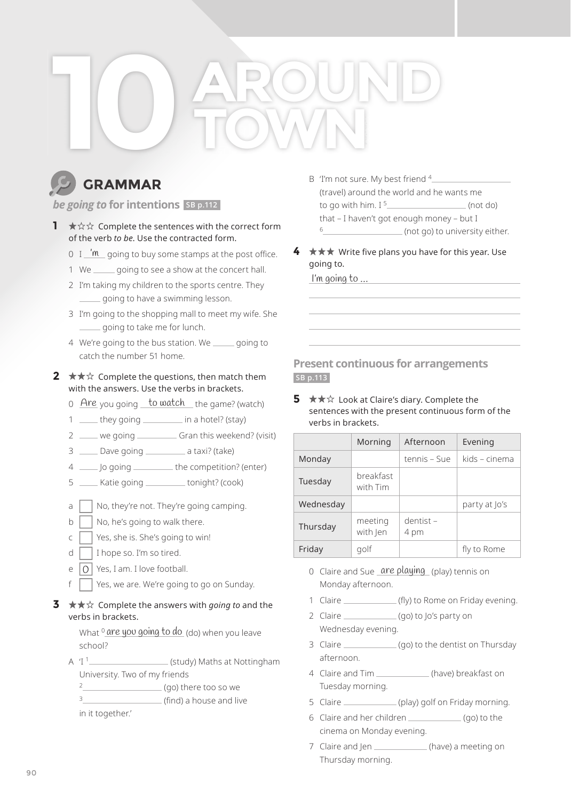



#### *be going to* **for intentions SB p.112**

- **1** ★☆☆ Complete the sentences with the correct form of the verb *to be*. Use the contracted form.
	- 0 I  $\mu$  going to buy some stamps at the post office.
	- 1 We same going to see a show at the concert hall.
	- 2 I'm taking my children to the sports centre. They going to have a swimming lesson.
	- 3 I'm going to the shopping mall to meet my wife. She going to take me for lunch.
	- 4 We're going to the bus station. We \_\_\_\_\_ going to catch the number 51 home.
- $2 \star \star \times$  Complete the questions, then match them with the answers. Use the verbs in brackets.
	- 0  $\text{Are you going to watch}$  the game? (watch)
	- 1  $\equiv$  they going  $\equiv$  in a hotel? (stay)
	- 2 \_\_\_\_ we going \_\_\_\_\_\_\_\_\_\_\_\_ Gran this weekend? (visit)
	- 3 \_\_\_\_ Dave going \_\_\_\_\_\_\_\_\_ a taxi? (take)
	- 4 \_\_\_\_\_ Jo going \_\_\_\_\_\_\_\_\_\_ the competition? (enter)
	- 5 \_\_\_\_\_ Katie going \_\_\_\_\_\_\_\_\_\_ tonight? (cook)
	- a  $\Box$  No, they're not. They're going camping.
	- $b \mid \cdot$  No, he's going to walk there.
	- $\mathsf{c}$   $\blacksquare$  Yes, she is. She's going to win!
	- $d \Box$  I hope so. I'm so tired.
	- e  $\boxed{0}$  Yes, I am. I love football.
	- $f \cap$  Yes, we are. We're going to go on Sunday.
- **3**  $\star \star \times$  Complete the answers with *going to* and the verbs in brackets.
	- What  $\theta$  are you going to do (do) when you leave school?
	- A 'I<sup>1</sup> (study) Maths at Nottingham University. Two of my friends
		- $2$  (go) there too so we
		- $\frac{2}{3}$  (find) a house and live
		- in it together.'
- B 'I'm not sure. My best friend 4\_ (travel) around the world and he wants me to go with him.  $I^5$  (not do) that  $-$  I haven't got enough money  $-$  but I **Example 2 (not go) to university either.**
- $\overrightarrow{4}$   $\overrightarrow{+}\overrightarrow{+}$  Write five plans you have for this year. Use going to.

I'm going to ...

#### **Present continuous for arrangements SB p.113**

 $\overline{\mathbf{5}}$   $\overrightarrow{\star}$   $\overrightarrow{\star}$  Look at Claire's diary. Complete the sentences with the present continuous form of the verbs in brackets.

|           | Morning               | Afternoon        | Evening       |
|-----------|-----------------------|------------------|---------------|
| Monday    |                       | tennis – Sue     | kids – cinema |
| Tuesday   | breakfast<br>with Tim |                  |               |
| Wednesday |                       |                  | party at Jo's |
| Thursday  | meeting<br>with Jen   | dentist-<br>4 pm |               |
| Friday    | golf                  |                  | fly to Rome   |

- 0 Claire and Sue <u>are playing</u> (play) tennis on Monday afternoon.
- 1 Claire (fly) to Rome on Friday evening.
- 2 Claire (go) to Jo's party on Wednesday evening.
- 3 Claire (go) to the dentist on Thursday afternoon.
- 4 Claire and Tim \_\_\_\_\_\_\_\_\_\_\_\_(have) breakfast on Tuesday morning.
- 5 Claire (play) golf on Friday morning.
- 6 Claire and her children (go) to the cinema on Monday evening.
- 7 Claire and Jen (have) a meeting on Thursday morning.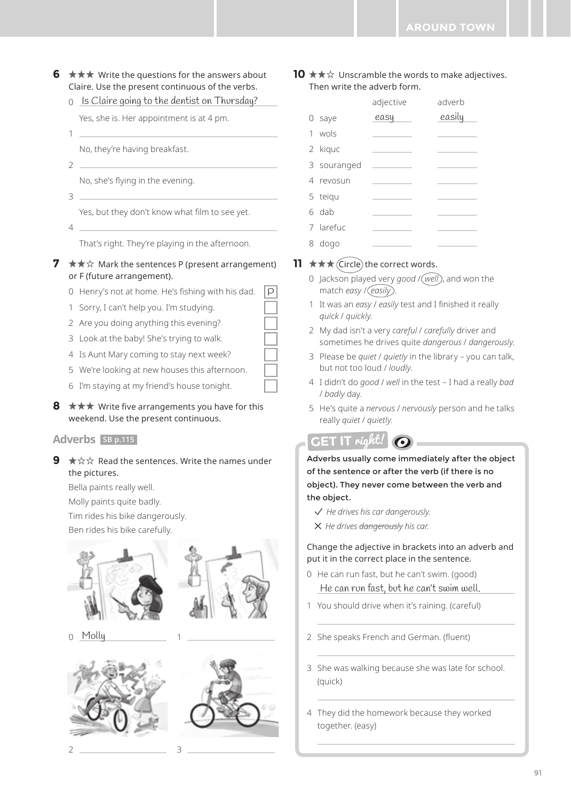- $\uparrow$   $\star \star \star$  Write the questions for the answers about Claire. Use the present continuous of the verbs.
	- 0 Is Claire going to the dentist on Thursday?

Yes, she is. Her appointment is at 4 pm.

1

No, they're having breakfast.

 $2$   $-$ 

No, she's flying in the evening.

 $3 -$ 

Yes, but they don't know what film to see yet.

4

That's right. They're playing in the afternoon.

- $\mathbf{7}$   $\star\star\mathbf{\hat{x}}$  Mark the sentences P (present arrangement) or F (future arrangement).
	- 0 Henry's not at home. He's fishing with his dad.  $\boxed{\mathsf{P}}$
	- 1 Sorry, I can't help you. I'm studying.
	- 2 Are you doing anything this evening?
	- 3 Look at the baby! She's trying to walk.
	- 4 Is Aunt Mary coming to stay next week?
	- 5 We're looking at new houses this afternoon.
	- 6 I'm staying at my friend's house tonight.
- $\mathbf{8}$   $\star\star\star$  Write five arrangements you have for this weekend. Use the present continuous.

#### **Adverbs SB p.115**

- **9** ★☆☆ Read the sentences. Write the names under the pictures.
	- Bella paints really well.
	- Molly paints quite badly.
	- Tim rides his bike dangerously.

Ben rides his bike carefully.



 $2 \frac{1}{2}$  3



**10**  $\star \star \times$  Unscramble the words to make adjectives. Then write the adverb form.

|   |             | adjective | adverb |
|---|-------------|-----------|--------|
| 0 | saye        | easy      | easily |
| 1 | wols        |           |        |
|   | 2 kiquc     |           |        |
|   | 3 souranged |           |        |
|   | 4 revosun   |           |        |
|   | 5 teigu     |           |        |
|   | 6 dab       |           |        |
|   | 7 larefuc   |           |        |
| 8 | dogo        |           |        |

#### $11 \star \star \star$  (Circle) the correct words.

- 0 Jacksonplayedvery*good*/ *well* , and won the match *easy* / (easily).
- 1 Itwasan*easy*/*easily*testandIfinisheditreally *quick*/*quickly*.
- 2 My dad isn't a very *careful*/*carefully* driver and sometimes he drives quite *dangerous* / dangerously.
- 3 Pleasebe*quiet*/*quietly*inthelibrary–youcantalk, but not too loud / loudly.
- 4 Ididn'tdo*good*/*well*inthetest–Ihadareally*bad* /*badly*day.
- 5 He's quite a nervous / nervously person and he talks really *quiet*/*quietly*.

### **GET IT** right!

Adverbs usually come immediately after the object of the sentence or after the verb (if there is no object). They never come between the verb and the object.

- *He drives his car dangerously.*
- *He drives dangerously his car.*

Change the adjective in brackets into an adverb and put it in the correct place in the sentence.

- 0 He can run fast, but he can't swim. (good) He can run fast, but he can't swim well.
- 1 You should drive when it's raining. (careful)
- 2 She speaks French and German. (fluent)
- 3 She was walking because she was late for school. (quick)
- 4 They did the homework because they worked together.(easy)

91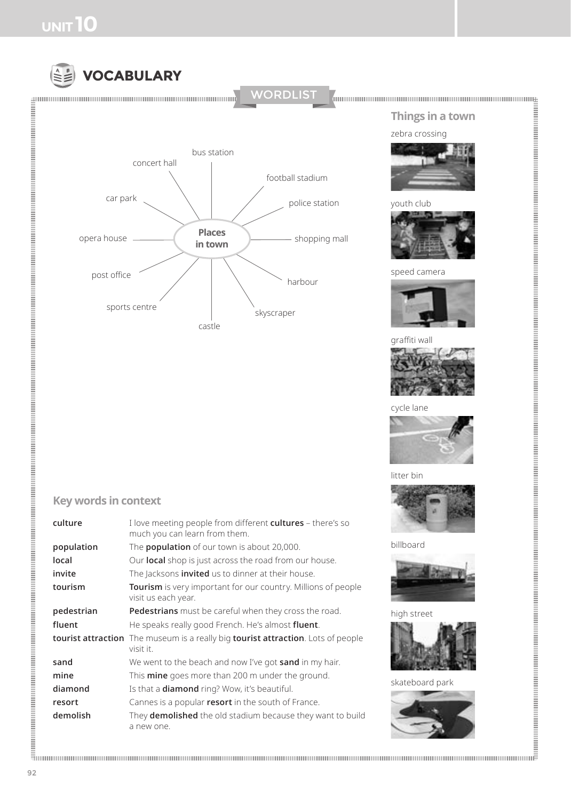### **UNIT10**



#### **Key words in context**

| culture    | I love meeting people from different cultures - there's so<br>much you can learn from them.   |
|------------|-----------------------------------------------------------------------------------------------|
| population | The <b>population</b> of our town is about 20,000.                                            |
| local      | Our <b>local</b> shop is just across the road from our house.                                 |
| invite     | The Jacksons <b>invited</b> us to dinner at their house.                                      |
| tourism    | <b>Tourism</b> is very important for our country. Millions of people<br>visit us each year.   |
| pedestrian | Pedestrians must be careful when they cross the road.                                         |
| fluent     | He speaks really good French. He's almost <b>fluent</b> .                                     |
|            | tourist attraction The museum is a really big tourist attraction. Lots of people<br>visit it. |
| sand       | We went to the beach and now I've got sand in my hair.                                        |
| mine       | This <b>mine</b> goes more than 200 m under the ground.                                       |
| diamond    | Is that a <b>diamond</b> ring? Wow, it's beautiful.                                           |
| resort     | Cannes is a popular resort in the south of France.                                            |
| demolish   | They <b>demolished</b> the old stadium because they want to build<br>la new one.              |



cycle lane



litter bin



billboard



high street



skateboard park

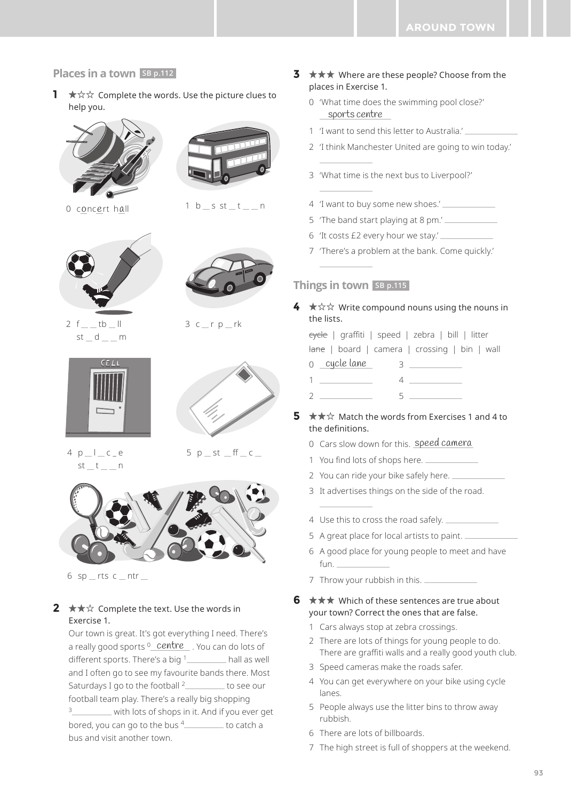#### **Places in a town SB p.112**

**1** ★☆☆ Complete the words. Use the picture clues to help you.





 $2 f$ \_tb  $\parallel$  $st_d = -m$ 



0 concert hall  $1 b$  s st  $t$  n



 $3 c r p$ 



4  $p_l$   $c_e$  $st_t = t_0$ n





6 sp  $\_$  rts c  $\_$  ntr  $\_$ 

#### $2 \star \star \times$  Complete the text. Use the words in Exercise 1.

Our town is great. It's got everything I need. There's a really good sports <sup>0</sup>\_centre . You can do lots of different sports. There's a big  $1$  \_\_\_\_\_\_\_\_ hall as well and I often go to see my favourite bands there. Most Saturdays I go to the football <sup>2</sup> \_\_\_\_\_\_\_\_ to see our football team play. There's a really big shopping <sup>3</sup> with lots of shops in it. And if you ever get bored, you can go to the bus  $4$   $\frac{4}{100}$  to catch a bus and visit another town.

- **3** ★★★ Where are these people? Choose from the places in Exercise 1.
	- 0 'What time does the swimming pool close?' sports centre
	- 1 'I want to send this letter to Australia.'
	- 2 'I think Manchester United are going to win today.'
	- 3 'What time is the next bus to Liverpool?'
	- 4 'I want to buy some new shoes.'
	- 5 'The band start playing at 8 pm.'
	- 6 'Itcosts£2everyhourwestay.'
	- 7 'There's a problem at the bank. Come quickly.'

#### **Things in town SB p.115**

- **4**  $\star \times \times$  Write compound nouns using the nouns in the lists. cycle | graffiti | speed | zebra | bill | litter lane | board | camera | crossing | bin | wall  $0$  cycle lane  $3$   $\overline{\phantom{0}}$ 
	- $1 \begin{array}{ccc} 1 \end{array}$  4  $\begin{array}{ccc} 4 \end{array}$  $2 \frac{1}{2}$  5  $\frac{1}{2}$  5  $\frac{1}{2}$  5  $\frac{1}{2}$  5  $\frac{1}{2}$  5  $\frac{1}{2}$  5  $\frac{1}{2}$  5  $\frac{1}{2}$  5  $\frac{1}{2}$  5  $\frac{1}{2}$  5  $\frac{1}{2}$  5  $\frac{1}{2}$  5  $\frac{1}{2}$  5  $\frac{1}{2}$  5  $\frac{1}{2}$  5  $\frac{1}{2}$  5  $\frac{1}{2}$  5  $\frac{1}{2}$  5  $\frac{$
- **5**  $\star \star \times$  Match the words from Exercises 1 and 4 to the definitions.
	- 0 Cars slow down for this. speed camera
	- 1 You find lots of shops here.
	- 2 You can ride your bike safely here.
	- 3 It advertises things on the side of the road.
	- 4 Use this to cross the road safely.
	- 5 A great place for local artists to paint.
	- 6 A good place for young people to meet and have fun.
	- 7 Throw your rubbish in this.

#### **6** ★★★ Which of these sentences are true about your town? Correct the ones that are false.

- 1 Cars always stop at zebra crossings.
- 2 There are lots of things for young people to do. There are graffiti walls and a really good youth club.
- 3 Speed cameras make the roads safer.
- 4 You can get everywhere on your bike using cycle lanes.
- 5 People always use the litter bins to throw away rubbish.
- 6 There are lots of billboards.
- 7 The high street is full of shoppers at the weekend.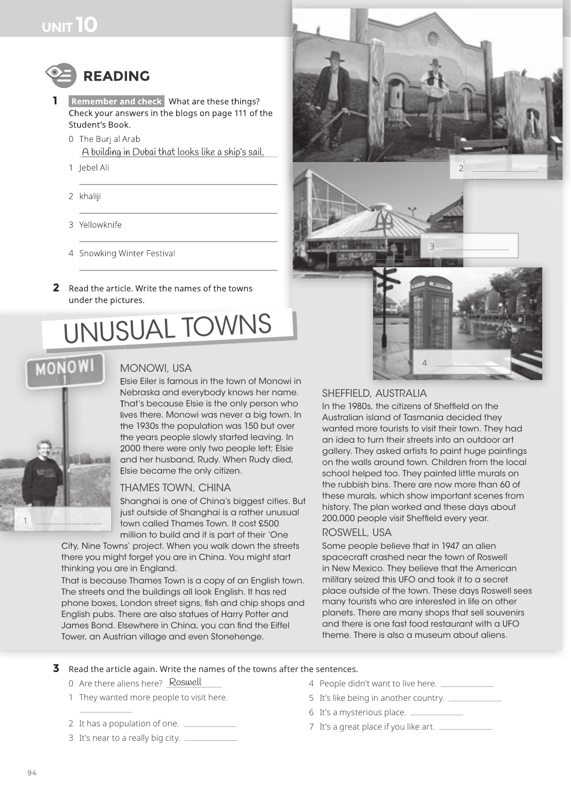### **UNIT10**



- **1 Remember and check** What are these things? Check your answers in the blogs on page 111 of the Student's Book.
	- 0 The Buri al Arab A building in Dubai that looks like a ship's sail.
	- 1 JebelAli
	- 2 khaliji
	- 3 Yellowknife
	- 4 Snowking Winter Festival
- **2** Read the article. Write the names of the towns under the pictures.

# UNUSUAL TOWNS



#### MONOWI, USA

Elsie Eiler is famous in the town of Monowi in Nebraska and everybody knows her name. That's because Elsie is the only person who lives there. Monowi was never a big town. In the 1930s the population was 150 but over the years people slowly started leaving. In 2000 there were only two people left; Elsie and her husband, Rudy. When Rudy died, Elsie became the only citizen.

#### THAMES TOWN, CHINA

Shanghai is one of China's biggest cities. But just outside of Shanghai is a rather unusual town called Thames Town. It cost £500 million to build and it is part of their 'One

City, Nine Towns' project. When you walk down the streets there you might forget you are in China. You might start thinking you are in England.

That is because Thames Town is a copy of an English town. The streets and the buildings all look English. It has red phone boxes, London street signs, fish and chip shops and English pubs. There are also statues of Harry Potter and James Bond. Elsewhere in China, you can find the Eiffel Tower, an Austrian village and even Stonehenge.



#### SHEFFIELD, AUSTRALIA

In the 1980s, the citizens of Sheffield on the Australian island of Tasmania decided they wanted more tourists to visit their town. They had an idea to turn their streets into an outdoor art gallery. They asked artists to paint huge paintings on the walls around town. Children from the local school helped too. They painted little murals on the rubbish bins. There are now more than 60 of these murals, which show important scenes from history. The plan worked and these days about 200,000 people visit Sheffield every year.

#### ROSWELL, USA

Some people believe that in 1947 an alien spacecraft crashed near the town of Roswell in New Mexico. They believe that the American military seized this UFO and took it to a secret place outside of the town. These days Roswell sees many tourists who are interested in life on other planets. There are many shops that sell souvenirs and there is one fast food restaurant with a UFO theme. There is also a museum about aliens.

#### **3** Read the article again. Write the names of the towns after the sentences.

- 0 Are there aliens here? Roswell
- 1 They wanted more people to visit here.
- 2 It has a population of one.  $\equiv$
- 3 It's near to a really big city.
- 4 People didn't want to live here.
- 5 It's like being in another country.
- 6 It's a mysterious place. \_
- 7 It's a great place if you like art.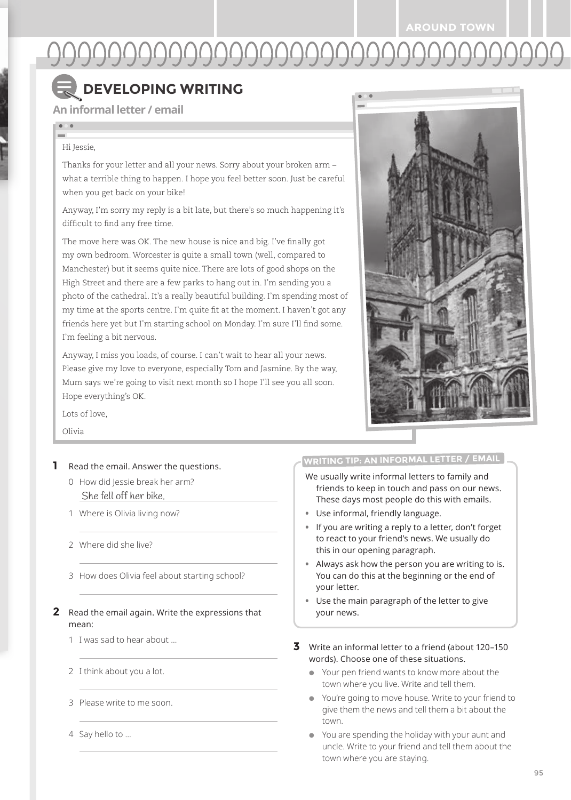## 

### **DEVELOPING WRITING**

#### **An informal letter / email**

#### Hi Jessie,

Thanks for your letter and all your news. Sorry about your broken arm – what a terrible thing to happen. I hope you feel better soon. Just be careful when you get back on your bike!

Anyway, I'm sorry my reply is a bit late, but there's so much happening it's difficult to find any free time.

The move here was OK. The new house is nice and big. I've finally got my own bedroom. Worcester is quite a small town (well, compared to Manchester) but it seems quite nice. There are lots of good shops on the High Street and there are a few parks to hang out in. I'm sending you a photo of the cathedral. It's a really beautiful building. I'm spending most of my time at the sports centre. I'm quite fit at the moment. I haven't got any friends here yet but I'm starting school on Monday. I'm sure I'll find some. I'm feeling a bit nervous.

Anyway, I miss you loads, of course. I can't wait to hear all your news. Please give my love to everyone, especially Tom and Jasmine. By the way, Mum says we're going to visit next month so I hope I'll see you all soon. Hope everything's OK.

Lots of love,

Olivia

- **1** Read the email. Answer the questions.
	- 0 How did Jessie break her arm? She fell off her bike.
	- 1 Where is Olivia living now?
	- 2 Where did she live?
	- 3 How does Olivia feel about starting school?
- **2** Read the email again. Write the expressions that mean:
	- 1 I was sad to hear about ...
	- 2 I think about you a lot.
	- 3 Please write to me soon.
	- 4 Say hello to …



#### **WRITING TIP: AN INFORMAL LETTER / EMAIL**

- We usually write informal letters to family and friends to keep in touch and pass on our news. These days most people do this with emails.
- **•** Use informal, friendly language.
- **•** If you are writing a reply to a letter, don't forget to react to your friend's news. We usually do this in our opening paragraph.
- **•** Always ask how the person you are writing to is. You can do this at the beginning or the end of your letter.
- **•** Use the main paragraph of the letter to give your news.
- **3** Write an informal letter to a friend (about 120–150 words). Choose one of these situations.
	- Your pen friend wants to know more about the town where you live. Write and tell them.
	- You're going to move house. Write to your friend to give them the news and tell them a bit about the town.
	- You are spending the holiday with your aunt and uncle. Write to your friend and tell them about the town where you are staying.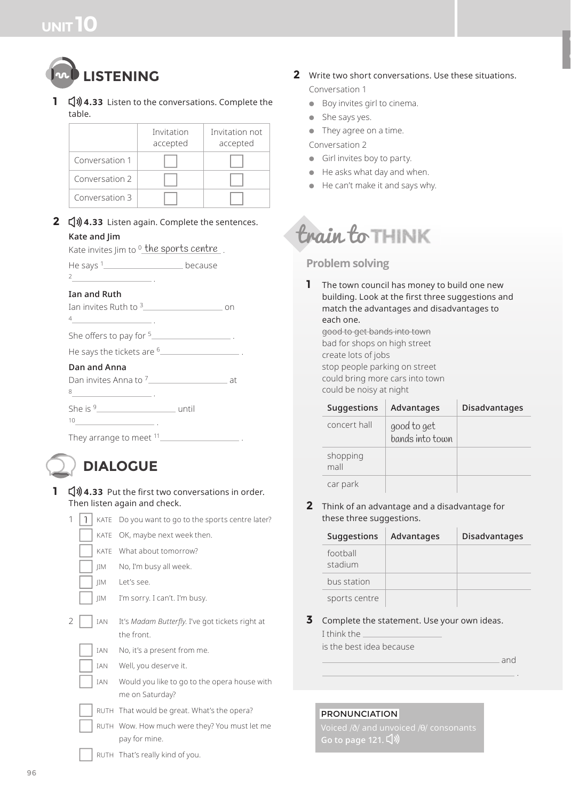### **UNIT**



**1 4.33** Listen to the conversations. Complete the table.

|                | Invitation<br>accepted | Invitation not<br>accepted |
|----------------|------------------------|----------------------------|
| Conversation 1 |                        |                            |
| Conversation 2 |                        |                            |
| Conversation 3 |                        |                            |

**2**  $\Box$  **4.33** Listen again. Complete the sentences. **Kate and Jim**

Kate invites Jim to <sup>0</sup> the sports centre.

He says  $1$  because 2 .

#### **Ian and Ruth**

| Ian invites Ruth to <sup>3</sup> |  |
|----------------------------------|--|
|                                  |  |

| She offers to pay for 5.             |  |
|--------------------------------------|--|
| He says the tickets are <sup>6</sup> |  |

|              | The purp and arenew and |  |
|--------------|-------------------------|--|
| Dan and Anna |                         |  |

|  | -Dan and Anna |
|--|---------------|
|  |               |

Dan invites Anna to  $7\frac{2}{100}$  at  $\begin{array}{c|c} \hline \begin{array}{ccc} 8 & \text{ } & \text{ } & \text{ } \\ \hline \end{array} & \begin{array}{ccc} 8 & \text{ } & \text{ } & \text{ } \\ \hline \end{array} & \begin{array}{ccc} 1 & \text{ } & \text{ } \\ \text{ } & \text{ } & \text{ } \\ \hline \end{array} & \begin{array}{ccc} 1 & \text{ } & \text{ } \\ \text{ } & \text{ } & \text{ } \\ \end{array} & \begin{array}{ccc} 1 & \text{ } & \text{ } \\ \text{ } & \text{ } & \text{ } \\ \end{array} & \begin{array}{ccc} 1 & \text{ }$ 

She is  $9$  until 10 .

They arrange to meet  $11$  \_\_\_\_\_\_\_\_\_\_\_\_\_\_\_\_\_\_\_\_\_.

### **DIALOGUE**

| <b>1</b> $\left(\sqrt{3}\right)$ 4.33 Put the first two conversations in order.<br>Then listen again and check. |  |  |                                                                    |
|-----------------------------------------------------------------------------------------------------------------|--|--|--------------------------------------------------------------------|
|                                                                                                                 |  |  | $1 \mid 1 \mid$ KATE Do you want to go to the sports centre later? |
|                                                                                                                 |  |  | $\vert$ $\vert$ KATE OK, maybe next week then.                     |

|  |  | KATE What about tomorrow? |  |
|--|--|---------------------------|--|

JIM No, I'm busy all week.

- JIM Let's see.
- JIM I'm sorry. I can't. I'm busy.
- 2 | | IAN It's *Madam Butterfly*. I've got tickets right at the front.
	- IAN No, it's a present from me.
	- IAN Well, you deserve it.
	- IAN Would you like to go to the opera house with me on Saturday?
	- RUTH That would be great. What's the opera?
	- RUTH Wow. How much were they? You must let me pay for mine.
	- RUTH That's really kind of you.

#### **2** Write two short conversations. Use these situations.

Conversation 1

- Boy invites girl to cinema.
- She says yes.
- They agree on a time.

Conversation 2

- Girl invites boy to party.
- He asks what day and when.
- He can't make it and says why.



#### **Problem solving**

**1** The town council has money to build one new building. Look at the first three suggestions and match the advantages and disadvantages to each one.

good to get bands into town bad for shops on high street create lots of jobs stop people parking on street could bring more cars into town could be noisy at night

| Suggestions      | Advantages                     | Disadvantages |
|------------------|--------------------------------|---------------|
| concert hall     | good to get<br>bands into town |               |
| shopping<br>mall |                                |               |
| car park         |                                |               |

**2** Think of an advantage and a disadvantage for these three suggestions.

| Suggestions         | Advantages | Disadvantages |
|---------------------|------------|---------------|
| football<br>stadium |            |               |
| bus station         |            |               |
| sports centre       |            |               |

**3** Complete the statement. Use your own ideas.

I think the

is the best idea because

#### and

.

#### PRONUNCIATION

**Go to page 121.**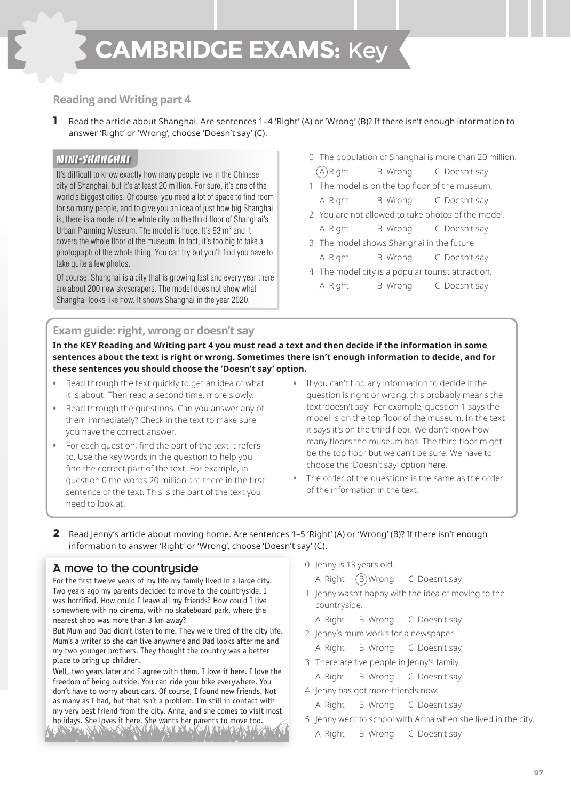#### **Reading and Writing part 4**

**1** Read the article about Shanghai. Are sentences 1–4 'Right' (A) or 'Wrong' (B)? If there isn't enough information to answer 'Right' or 'Wrong', choose 'Doesn't say' (C).

### Mini-Shanghai

It's difficult to know exactly how many people live in the Chinese city of Shanghai, but it's at least 20 million. For sure, it's one of the world's biggest cities. Of course, you need a lot of space to find room for so many people, and to give you an idea of just how big Shanghai is, there is a model of the whole city on the third floor of Shanghai's Urban Planning Museum. The model is huge. It's 93 m<sup>2</sup> and it covers the whole floor of the museum. In fact, it's too big to take a photograph of the whole thing. You can try but you'll find you have to take quite a few photos.

Of course, Shanghai is a city that is growing fast and every year there are about 200 new skyscrapers. The model does not show what Shanghai looks like now. It shows Shanghai in the year 2020.

- 0 The population of Shanghai is more than 20 million.  $(A)$  Right B Wrong C Doesn't say
- 1 The model is on the top floor of the museum. A Right B Wrong C Doesn't say
- 2 You are not allowed to take photos of the model. A Right B Wrong C Doesn't say
- 3 The model shows Shanghai in the future.
- A Right B Wrong C Doesn't say
- 4 The model city is a popular tourist attraction. A Right B Wrong C Doesn't say

#### **Exam guide: right, wrong or doesn't say**

**In the KEY Reading and Writing part 4 you must read a text and then decide if the information in some sentences about the text is right or wrong. Sometimes there isn't enough information to decide, and for these sentences you should choose the 'Doesn't say' option.**

- Read through the text quickly to get an idea of what it is about. Then read a second time, more slowly.
- Read through the questions. Can you answer any of them immediately? Check in the text to make sure you have the correct answer.
- **For each question, find the part of the text it refers** to. Use the key words in the question to help you find the correct part of the text. For example, in question 0 the words 20 million are there in the first sentence of the text. This is the part of the text you need to look at.
- If you can't find any information to decide if the question is right or wrong, this probably means the text 'doesn't say'. For example, question 1 says the model is on the top floor of the museum. In the text it says it's on the third floor. We don't know how many floors the museum has. The third floor might be the top floor but we can't be sure. We have to choose the 'Doesn't say' option here.
- The order of the questions is the same as the order of the information in the text.
- **2** Read Jenny's article about moving home. Are sentences 1–5 'Right' (A) or 'Wrong' (B)? If there isn't enough information to answer 'Right' or 'Wrong', choose 'Doesn't say' (C).

#### A move to the countryside

For the first twelve years of my life my family lived in a large city. Two years ago my parents decided to move to the countryside. I was horrified. How could I leave all my friends? How could I live somewhere with no cinema, with no skateboard park, where the nearest shop was more than 3 km away?

But Mum and Dad didn't listen to me. They were tired of the city life. Mum's a writer so she can live anywhere and Dad looks after me and my two younger brothers. They thought the country was a better place to bring up children.

Well, two years later and I agree with them. I love it here. I love the freedom of being outside. You can ride your bike everywhere. You don't have to worry about cars. Of course, I found new friends. Not as many as I had, but that isn't a problem. I'm still in contact with my very best friend from the city, Anna, and she comes to visit most

holidays. She loves it here. She wants her parents to move too. うくいいい يربلونا ويملا الخسدور ينحارا 人口

- 0 Jenny is 13 years old.
	- A Right (B) Wrong C Doesn't say
- 1 Jenny wasn't happy with the idea of moving to the countryside.
	- A Right B Wrong C Doesn't say
- 2 Jenny's mum works for a newspaper.
- A Right B Wrong C Doesn't say
- 3 There are five people in Jenny's family. A Right B Wrong C Doesn't say
- 4 Jenny has got more friends now.
	- A Right B Wrong C Doesn't say
- 5 Jenny went to school with Anna when she lived in the city. A Right B Wrong C Doesn't say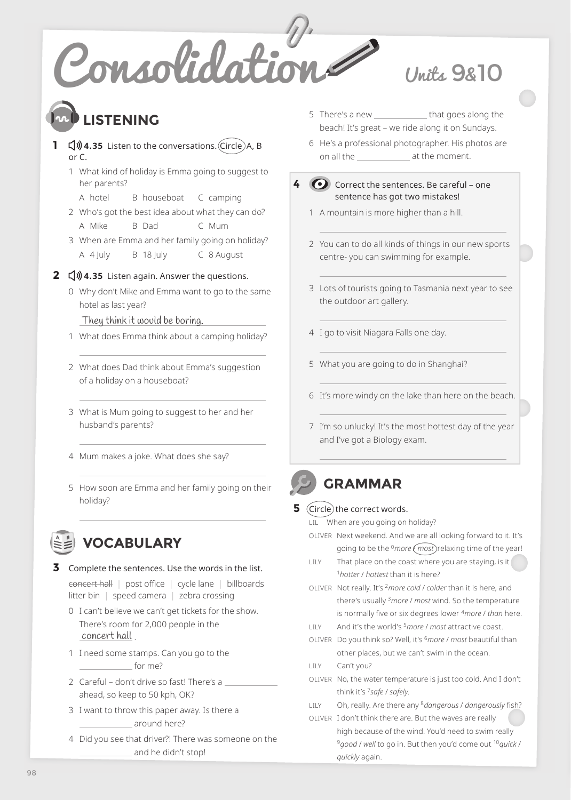Consolidation du Units 9810

### **LISTENING**

- **1**  $\Box$  **4.35** Listen to the conversations. (Circle) A, B or C.
	- 1 What kind of holiday is Emma going to suggest to her parents?
		- A hotel B houseboat C camping
	- 2 Who's got the best idea about what they can do? A Mike B Dad C Mum
	- 3 When are Emma and her family going on holiday? A 4 July B 18 July C 8 August
- **2**  $\left\{\frac{1}{2}\right\}$  **4.35** Listen again. Answer the questions.
	- 0 Why don't Mike and Emma want to go to the same hotel as last year?
		- They think it would be boring.
	- 1 What does Emma think about a camping holiday?
	- 2 What does Dad think about Emma's suggestion of a holiday on a houseboat?
	- 3 What is Mum going to suggest to her and her husband's parents?
	- 4 Mum makes a joke. What does she say?
	- 5 How soon are Emma and her family going on their holiday?
	- **VOCABULARY**
- **3** Complete the sentences. Use the words in the list. concert hall | postoffice | cyclelane | billboards litter bin | speed camera | zebra crossing
	- 0 I can't believe we can't get tickets for the show. There's room for 2,000 people in the concert hall .
	- 1 I need some stamps. Can you go to the forme?
	- 2 Careful don't drive so fast! There's a ahead, so keep to 50 kph, OK?
	- 3 I want to throw this paper away. Is there a around here?
	- 4 Did you see that driver?! There was someone on the \_ and he didn't stop!
- 5 There's a new \_\_\_\_\_\_\_\_\_\_\_\_\_\_\_that goes along the beach! It's great – we ride along it on Sundays.
- 6 He's a professional photographer. His photos are on all the atthemoment.
- **4** Correct the sentences. Be careful one sentence has got two mistakes!
	- 1 A mountain is more higher than a hill.
	- 2 You can to do all kinds of things in our new sports centre-you can swimming for example.
	- 3 Lots of tourists going to Tasmania next year to see the outdoor art gallery.
	- 4 I go to visit Niagara Falls one day.
	- 5 What you are going to do in Shanghai?
	- 6 It's more windy on the lake than here on the beach.
	- 7 I'm so unlucky! It's the most hottest day of the year and I've got a Biology exam.

### **GRAMMAR**

#### **5** (Circle) the correct words.

LIL When are you going on holiday?

- OLIVER Next weekend. And we are all looking forward to it. It's going to be the <sup>0</sup>*more* (*most*) relaxing time of the year!
- LILY That place on the coast where you are staying, is it <sup>1</sup>*hotter* /*hottest* than it is here?
- OLIVER Notreally.It's2*more cold*/*colder* than it is here, and there's usually <sup>3</sup>more / most wind. So the temperature is normally five or six degrees lower <sup>4</sup>*more* / *than* here.
- LILY And it's the world's 5*more*/*most*attractivecoast.
- OLIVER Do you think so? Well, it's <sup>6</sup>more / most beautiful than other places, but we can't swim in the ocean.
- LILY Can't you?
- OLIVER No, the water temperature is just too cold. And I don't think it's <sup>7</sup>safe / safely.
- LILY Oh, really. Are there any <sup>8</sup>dangerous / dangerously fish?
- OLIVER I don't think there are. But the waves are really high because of the wind. You'd need to swim really <sup>9</sup>good / well to go in. But then you'd come out <sup>10</sup>quick / *quickly*again.